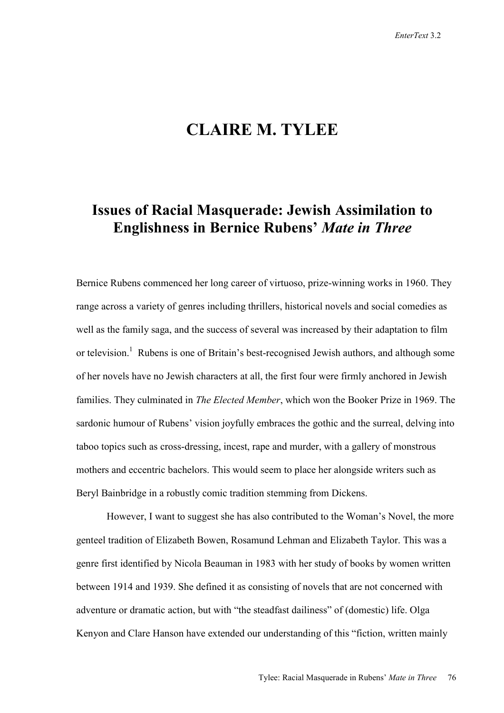## **CLAIRE M. TYLEE**

## **Issues of Racial Masquerade: Jewish Assimilation to Englishness in Bernice Rubens'** *Mate in Three*

Bernice Rubens commenced her long career of virtuoso, prize-winning works in 1960. They range across a variety of genres including thrillers, historical novels and social comedies as well as the family saga, and the success of several was increased by their adaptation to film or television.<sup>1</sup> Rubens is one of Britain's best-recognised Jewish authors, and although some of her novels have no Jewish characters at all, the first four were firmly anchored in Jewish families. They culminated in *The Elected Member*, which won the Booker Prize in 1969. The sardonic humour of Rubens' vision joyfully embraces the gothic and the surreal, delving into taboo topics such as cross-dressing, incest, rape and murder, with a gallery of monstrous mothers and eccentric bachelors. This would seem to place her alongside writers such as Beryl Bainbridge in a robustly comic tradition stemming from Dickens.

However, I want to suggest she has also contributed to the Woman's Novel, the more genteel tradition of Elizabeth Bowen, Rosamund Lehman and Elizabeth Taylor. This was a genre first identified by Nicola Beauman in 1983 with her study of books by women written between 1914 and 1939. She defined it as consisting of novels that are not concerned with adventure or dramatic action, but with "the steadfast dailiness" of (domestic) life. Olga Kenyon and Clare Hanson have extended our understanding of this "fiction, written mainly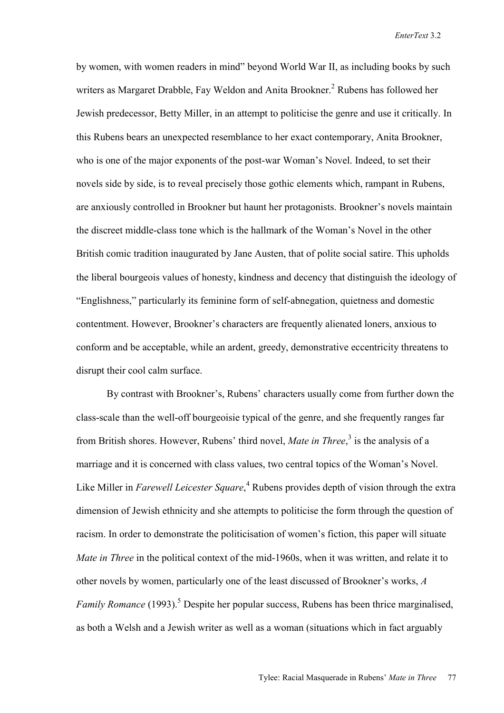by women, with women readers in mind" beyond World War II, as including books by such writers as Margaret Drabble, Fay Weldon and Anita Brookner.<sup>2</sup> Rubens has followed her Jewish predecessor, Betty Miller, in an attempt to politicise the genre and use it critically. In this Rubens bears an unexpected resemblance to her exact contemporary, Anita Brookner, who is one of the major exponents of the post-war Woman's Novel. Indeed, to set their novels side by side, is to reveal precisely those gothic elements which, rampant in Rubens, are anxiously controlled in Brookner but haunt her protagonists. Brookner's novels maintain the discreet middle-class tone which is the hallmark of the Woman's Novel in the other British comic tradition inaugurated by Jane Austen, that of polite social satire. This upholds the liberal bourgeois values of honesty, kindness and decency that distinguish the ideology of "Englishness," particularly its feminine form of self-abnegation, quietness and domestic contentment. However, Brookner's characters are frequently alienated loners, anxious to conform and be acceptable, while an ardent, greedy, demonstrative eccentricity threatens to disrupt their cool calm surface.

By contrast with Brookner's, Rubens' characters usually come from further down the class-scale than the well-off bourgeoisie typical of the genre, and she frequently ranges far from British shores. However, Rubens' third novel, *Mate in Three*,<sup>3</sup> is the analysis of a marriage and it is concerned with class values, two central topics of the Woman's Novel. Like Miller in *Farewell Leicester Square*,<sup>4</sup> Rubens provides depth of vision through the extra dimension of Jewish ethnicity and she attempts to politicise the form through the question of racism. In order to demonstrate the politicisation of women's fiction, this paper will situate *Mate in Three* in the political context of the mid-1960s, when it was written, and relate it to other novels by women, particularly one of the least discussed of Brookner's works, *A*  Family Romance (1993).<sup>5</sup> Despite her popular success, Rubens has been thrice marginalised, as both a Welsh and a Jewish writer as well as a woman (situations which in fact arguably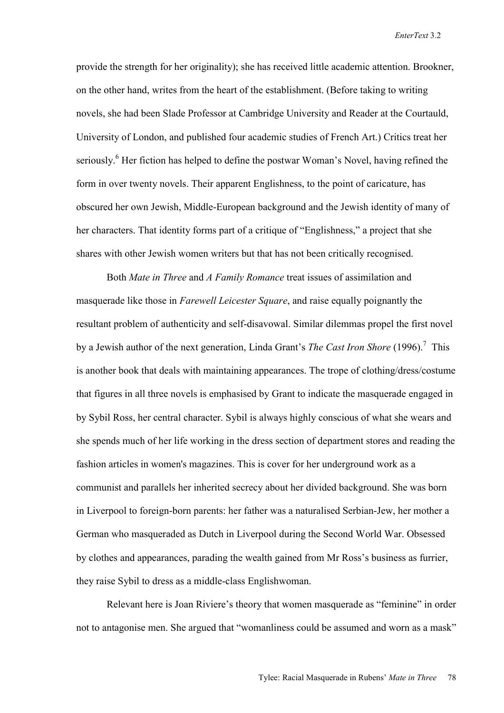provide the strength for her originality); she has received little academic attention. Brookner, on the other hand, writes from the heart of the establishment. (Before taking to writing novels, she had been Slade Professor at Cambridge University and Reader at the Courtauld, University of London, and published four academic studies of French Art.) Critics treat her seriously.<sup>6</sup> Her fiction has helped to define the postwar Woman's Novel, having refined the form in over twenty novels. Their apparent Englishness, to the point of caricature, has obscured her own Jewish, Middle-European background and the Jewish identity of many of her characters. That identity forms part of a critique of "Englishness," a project that she shares with other Jewish women writers but that has not been critically recognised.

Both *Mate in Three* and *A Family Romance* treat issues of assimilation and masquerade like those in *Farewell Leicester Square*, and raise equally poignantly the resultant problem of authenticity and self-disavowal. Similar dilemmas propel the first novel by a Jewish author of the next generation, Linda Grant's *The Cast Iron Shore* (1996).<sup>7</sup> This is another book that deals with maintaining appearances. The trope of clothing/dress/costume that figures in all three novels is emphasised by Grant to indicate the masquerade engaged in by Sybil Ross, her central character. Sybil is always highly conscious of what she wears and she spends much of her life working in the dress section of department stores and reading the fashion articles in women's magazines. This is cover for her underground work as a communist and parallels her inherited secrecy about her divided background. She was born in Liverpool to foreign-born parents: her father was a naturalised Serbian-Jew, her mother a German who masqueraded as Dutch in Liverpool during the Second World War. Obsessed by clothes and appearances, parading the wealth gained from Mr Ross's business as furrier, they raise Sybil to dress as a middle-class Englishwoman.

Relevant here is Joan Riviere's theory that women masquerade as "feminine" in order not to antagonise men. She argued that "womanliness could be assumed and worn as a mask"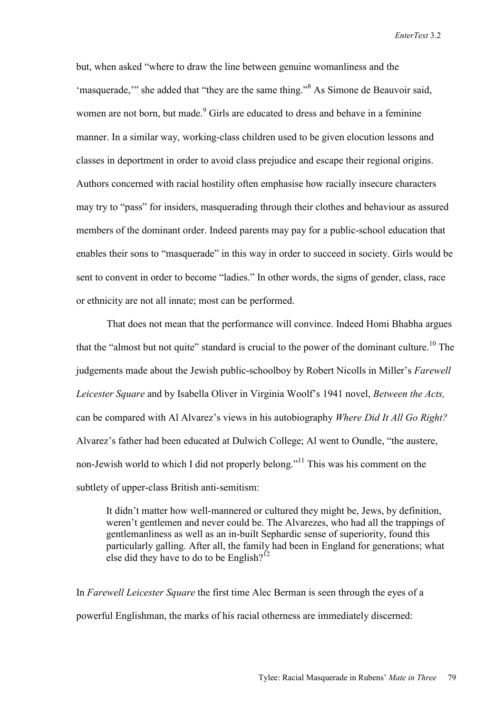but, when asked "where to draw the line between genuine womanliness and the 'masquerade," she added that "they are the same thing."<sup>8</sup> As Simone de Beauvoir said, women are not born, but made.<sup>9</sup> Girls are educated to dress and behave in a feminine manner. In a similar way, working-class children used to be given elocution lessons and classes in deportment in order to avoid class prejudice and escape their regional origins. Authors concerned with racial hostility often emphasise how racially insecure characters may try to "pass" for insiders, masquerading through their clothes and behaviour as assured members of the dominant order. Indeed parents may pay for a public-school education that enables their sons to "masquerade" in this way in order to succeed in society. Girls would be sent to convent in order to become "ladies." In other words, the signs of gender, class, race or ethnicity are not all innate; most can be performed.

That does not mean that the performance will convince. Indeed Homi Bhabha argues that the "almost but not quite" standard is crucial to the power of the dominant culture.<sup>10</sup> The judgements made about the Jewish public-schoolboy by Robert Nicolls in Miller's *Farewell Leicester Square* and by Isabella Oliver in Virginia Woolf's 1941 novel, *Between the Acts,* can be compared with Al Alvarez's views in his autobiography *Where Did It All Go Right?* Alvarez's father had been educated at Dulwich College; Al went to Oundle, "the austere, non-Jewish world to which I did not properly belong."<sup>11</sup> This was his comment on the subtlety of upper-class British anti-semitism:

It didn't matter how well-mannered or cultured they might be, Jews, by definition, weren't gentlemen and never could be. The Alvarezes, who had all the trappings of gentlemanliness as well as an in-built Sephardic sense of superiority, found this particularly galling. After all, the family had been in England for generations; what else did they have to do to be English?<sup>12</sup>

In *Farewell Leicester Square* the first time Alec Berman is seen through the eyes of a powerful Englishman, the marks of his racial otherness are immediately discerned: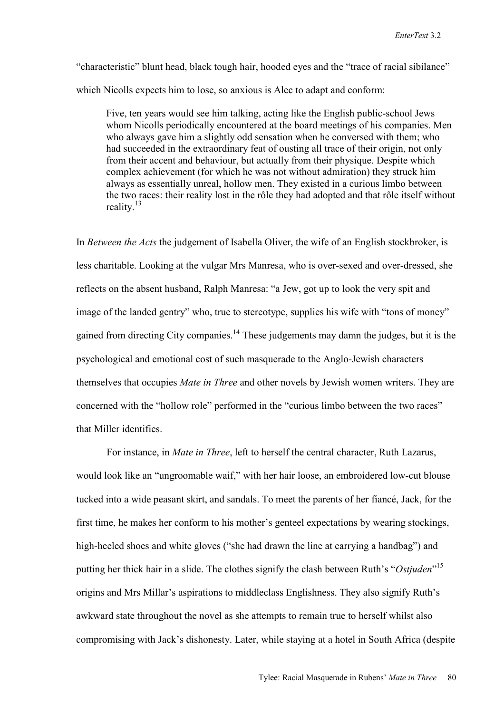"characteristic" blunt head, black tough hair, hooded eyes and the "trace of racial sibilance" which Nicolls expects him to lose, so anxious is Alec to adapt and conform:

Five, ten years would see him talking, acting like the English public-school Jews whom Nicolls periodically encountered at the board meetings of his companies. Men who always gave him a slightly odd sensation when he conversed with them; who had succeeded in the extraordinary feat of ousting all trace of their origin, not only from their accent and behaviour, but actually from their physique. Despite which complex achievement (for which he was not without admiration) they struck him always as essentially unreal, hollow men. They existed in a curious limbo between the two races: their reality lost in the rôle they had adopted and that rôle itself without reality  $13$ 

In *Between the Acts* the judgement of Isabella Oliver, the wife of an English stockbroker, is less charitable. Looking at the vulgar Mrs Manresa, who is over-sexed and over-dressed, she reflects on the absent husband, Ralph Manresa: "a Jew, got up to look the very spit and image of the landed gentry" who, true to stereotype, supplies his wife with "tons of money" gained from directing City companies.<sup>14</sup> These judgements may damn the judges, but it is the psychological and emotional cost of such masquerade to the Anglo-Jewish characters themselves that occupies *Mate in Three* and other novels by Jewish women writers. They are concerned with the "hollow role" performed in the "curious limbo between the two races" that Miller identifies.

For instance, in *Mate in Three*, left to herself the central character, Ruth Lazarus, would look like an "ungroomable waif," with her hair loose, an embroidered low-cut blouse tucked into a wide peasant skirt, and sandals. To meet the parents of her fiancé, Jack, for the first time, he makes her conform to his mother's genteel expectations by wearing stockings, high-heeled shoes and white gloves ("she had drawn the line at carrying a handbag") and putting her thick hair in a slide. The clothes signify the clash between Ruth's "*Ostjuden*" 15 origins and Mrs Millar's aspirations to middleclass Englishness. They also signify Ruth's awkward state throughout the novel as she attempts to remain true to herself whilst also compromising with Jack's dishonesty. Later, while staying at a hotel in South Africa (despite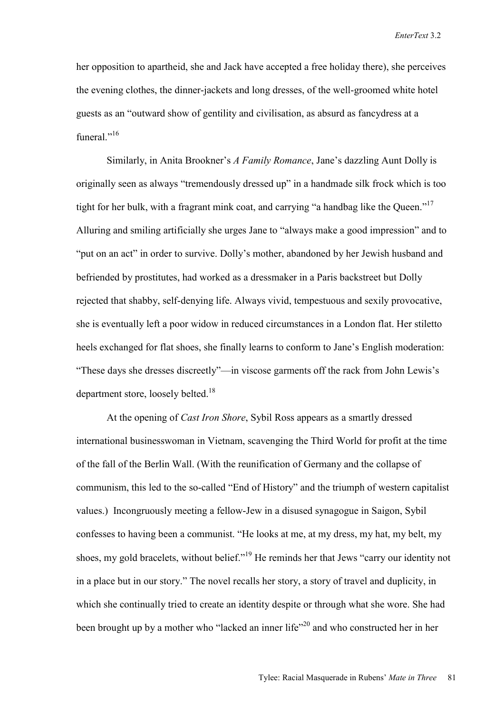her opposition to apartheid, she and Jack have accepted a free holiday there), she perceives the evening clothes, the dinner-jackets and long dresses, of the well-groomed white hotel guests as an "outward show of gentility and civilisation, as absurd as fancydress at a funeral<sup>"16</sup>

Similarly, in Anita Brookner's *A Family Romance*, Jane's dazzling Aunt Dolly is originally seen as always "tremendously dressed up" in a handmade silk frock which is too tight for her bulk, with a fragrant mink coat, and carrying "a handbag like the Queen."<sup>17</sup> Alluring and smiling artificially she urges Jane to "always make a good impression" and to "put on an act" in order to survive. Dolly's mother, abandoned by her Jewish husband and befriended by prostitutes, had worked as a dressmaker in a Paris backstreet but Dolly rejected that shabby, self-denying life. Always vivid, tempestuous and sexily provocative, she is eventually left a poor widow in reduced circumstances in a London flat. Her stiletto heels exchanged for flat shoes, she finally learns to conform to Jane's English moderation: "These days she dresses discreetly"—in viscose garments off the rack from John Lewis's department store, loosely belted.<sup>18</sup>

At the opening of *Cast Iron Shore*, Sybil Ross appears as a smartly dressed international businesswoman in Vietnam, scavenging the Third World for profit at the time of the fall of the Berlin Wall. (With the reunification of Germany and the collapse of communism, this led to the so-called "End of History" and the triumph of western capitalist values.) Incongruously meeting a fellow-Jew in a disused synagogue in Saigon, Sybil confesses to having been a communist. "He looks at me, at my dress, my hat, my belt, my shoes, my gold bracelets, without belief."19 He reminds her that Jews "carry our identity not in a place but in our story." The novel recalls her story, a story of travel and duplicity, in which she continually tried to create an identity despite or through what she wore. She had been brought up by a mother who "lacked an inner life"<sup>20</sup> and who constructed her in her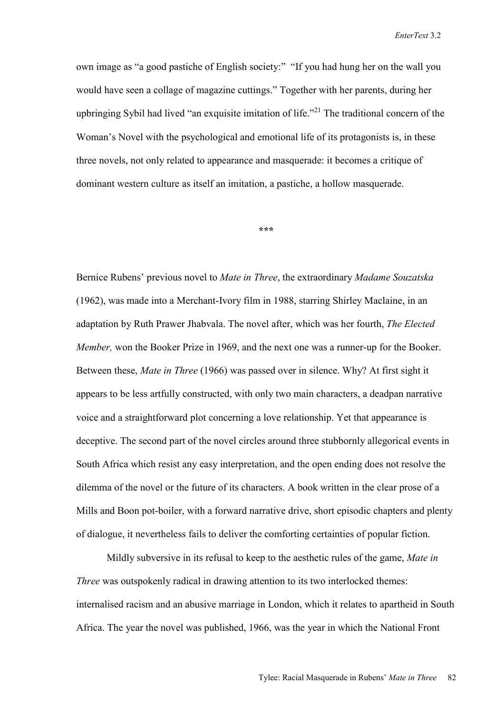own image as "a good pastiche of English society:" "If you had hung her on the wall you would have seen a collage of magazine cuttings." Together with her parents, during her upbringing Sybil had lived "an exquisite imitation of life."<sup> $21$ </sup> The traditional concern of the Woman's Novel with the psychological and emotional life of its protagonists is, in these three novels, not only related to appearance and masquerade: it becomes a critique of dominant western culture as itself an imitation, a pastiche, a hollow masquerade.

**\*\*\*** 

Bernice Rubens' previous novel to *Mate in Three*, the extraordinary *Madame Souzatska* (1962), was made into a Merchant-Ivory film in 1988, starring Shirley Maclaine, in an adaptation by Ruth Prawer Jhabvala. The novel after, which was her fourth, *The Elected Member,* won the Booker Prize in 1969, and the next one was a runner-up for the Booker. Between these, *Mate in Three* (1966) was passed over in silence. Why? At first sight it appears to be less artfully constructed, with only two main characters, a deadpan narrative voice and a straightforward plot concerning a love relationship. Yet that appearance is deceptive. The second part of the novel circles around three stubbornly allegorical events in South Africa which resist any easy interpretation, and the open ending does not resolve the dilemma of the novel or the future of its characters. A book written in the clear prose of a Mills and Boon pot-boiler, with a forward narrative drive, short episodic chapters and plenty of dialogue, it nevertheless fails to deliver the comforting certainties of popular fiction.

Mildly subversive in its refusal to keep to the aesthetic rules of the game, *Mate in Three* was outspokenly radical in drawing attention to its two interlocked themes: internalised racism and an abusive marriage in London, which it relates to apartheid in South Africa. The year the novel was published, 1966, was the year in which the National Front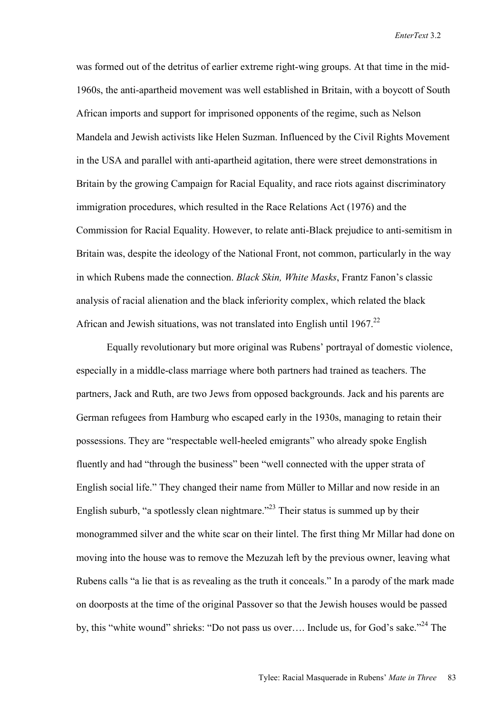was formed out of the detritus of earlier extreme right-wing groups. At that time in the mid-1960s, the anti-apartheid movement was well established in Britain, with a boycott of South African imports and support for imprisoned opponents of the regime, such as Nelson Mandela and Jewish activists like Helen Suzman. Influenced by the Civil Rights Movement in the USA and parallel with anti-apartheid agitation, there were street demonstrations in Britain by the growing Campaign for Racial Equality, and race riots against discriminatory immigration procedures, which resulted in the Race Relations Act (1976) and the Commission for Racial Equality. However, to relate anti-Black prejudice to anti-semitism in Britain was, despite the ideology of the National Front, not common, particularly in the way in which Rubens made the connection. *Black Skin, White Masks*, Frantz Fanon's classic analysis of racial alienation and the black inferiority complex, which related the black African and Jewish situations, was not translated into English until 1967<sup>22</sup>

 Equally revolutionary but more original was Rubens' portrayal of domestic violence, especially in a middle-class marriage where both partners had trained as teachers. The partners, Jack and Ruth, are two Jews from opposed backgrounds. Jack and his parents are German refugees from Hamburg who escaped early in the 1930s, managing to retain their possessions. They are "respectable well-heeled emigrants" who already spoke English fluently and had "through the business" been "well connected with the upper strata of English social life." They changed their name from Müller to Millar and now reside in an English suburb, "a spotlessly clean nightmare."<sup>23</sup> Their status is summed up by their monogrammed silver and the white scar on their lintel. The first thing Mr Millar had done on moving into the house was to remove the Mezuzah left by the previous owner, leaving what Rubens calls "a lie that is as revealing as the truth it conceals." In a parody of the mark made on doorposts at the time of the original Passover so that the Jewish houses would be passed by, this "white wound" shrieks: "Do not pass us over.... Include us, for God's sake."<sup>24</sup> The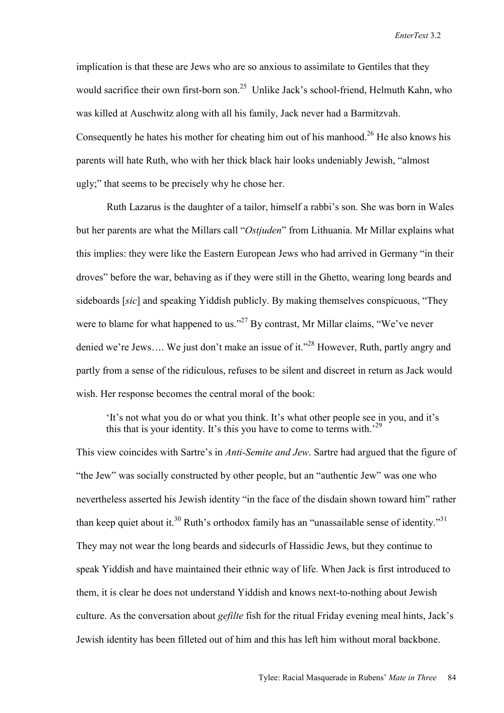implication is that these are Jews who are so anxious to assimilate to Gentiles that they would sacrifice their own first-born son.<sup>25</sup> Unlike Jack's school-friend, Helmuth Kahn, who was killed at Auschwitz along with all his family, Jack never had a Barmitzvah. Consequently he hates his mother for cheating him out of his manhood.<sup>26</sup> He also knows his parents will hate Ruth, who with her thick black hair looks undeniably Jewish, "almost ugly;" that seems to be precisely why he chose her.

 Ruth Lazarus is the daughter of a tailor, himself a rabbi's son. She was born in Wales but her parents are what the Millars call "*Ostjuden*" from Lithuania. Mr Millar explains what this implies: they were like the Eastern European Jews who had arrived in Germany "in their droves" before the war, behaving as if they were still in the Ghetto, wearing long beards and sideboards [*sic*] and speaking Yiddish publicly. By making themselves conspicuous, "They were to blame for what happened to us."<sup>27</sup> By contrast, Mr Millar claims, "We've never denied we're Jews.... We just don't make an issue of it."<sup>28</sup> However, Ruth, partly angry and partly from a sense of the ridiculous, refuses to be silent and discreet in return as Jack would wish. Her response becomes the central moral of the book:

'It's not what you do or what you think. It's what other people see in you, and it's this that is your identity. It's this you have to come to terms with.<sup>29</sup>

This view coincides with Sartre's in *Anti-Semite and Jew*. Sartre had argued that the figure of "the Jew" was socially constructed by other people, but an "authentic Jew" was one who nevertheless asserted his Jewish identity "in the face of the disdain shown toward him" rather than keep quiet about it.<sup>30</sup> Ruth's orthodox family has an "unassailable sense of identity."<sup>31</sup> They may not wear the long beards and sidecurls of Hassidic Jews, but they continue to speak Yiddish and have maintained their ethnic way of life. When Jack is first introduced to them, it is clear he does not understand Yiddish and knows next-to-nothing about Jewish culture. As the conversation about *gefilte* fish for the ritual Friday evening meal hints, Jack's Jewish identity has been filleted out of him and this has left him without moral backbone.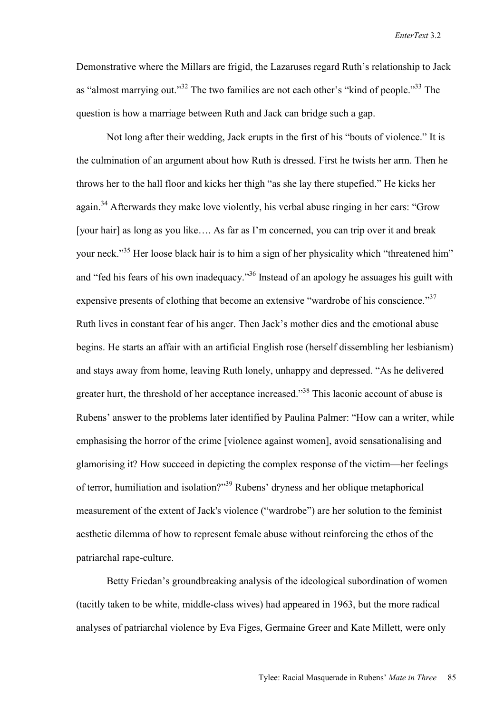Demonstrative where the Millars are frigid, the Lazaruses regard Ruth's relationship to Jack as "almost marrying out."<sup>32</sup> The two families are not each other's "kind of people."<sup>33</sup> The question is how a marriage between Ruth and Jack can bridge such a gap.

 Not long after their wedding, Jack erupts in the first of his "bouts of violence." It is the culmination of an argument about how Ruth is dressed. First he twists her arm. Then he throws her to the hall floor and kicks her thigh "as she lay there stupefied." He kicks her again.<sup>34</sup> Afterwards they make love violently, his verbal abuse ringing in her ears: "Grow" [your hair] as long as you like…. As far as I'm concerned, you can trip over it and break your neck."<sup>35</sup> Her loose black hair is to him a sign of her physicality which "threatened him" and "fed his fears of his own inadequacy."<sup>36</sup> Instead of an apology he assuages his guilt with expensive presents of clothing that become an extensive "wardrobe of his conscience."<sup>37</sup> Ruth lives in constant fear of his anger. Then Jack's mother dies and the emotional abuse begins. He starts an affair with an artificial English rose (herself dissembling her lesbianism) and stays away from home, leaving Ruth lonely, unhappy and depressed. "As he delivered greater hurt, the threshold of her acceptance increased.<sup>338</sup> This laconic account of abuse is Rubens' answer to the problems later identified by Paulina Palmer: "How can a writer, while emphasising the horror of the crime [violence against women], avoid sensationalising and glamorising it? How succeed in depicting the complex response of the victim—her feelings of terror, humiliation and isolation?"39 Rubens' dryness and her oblique metaphorical measurement of the extent of Jack's violence ("wardrobe") are her solution to the feminist aesthetic dilemma of how to represent female abuse without reinforcing the ethos of the patriarchal rape-culture.

Betty Friedan's groundbreaking analysis of the ideological subordination of women (tacitly taken to be white, middle-class wives) had appeared in 1963, but the more radical analyses of patriarchal violence by Eva Figes, Germaine Greer and Kate Millett, were only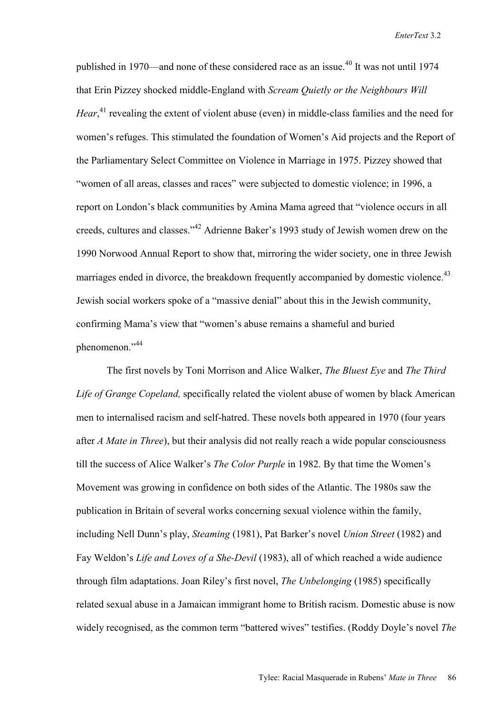published in 1970—and none of these considered race as an issue.<sup>40</sup> It was not until 1974 that Erin Pizzey shocked middle-England with *Scream Quietly or the Neighbours Will*  Hear,<sup>41</sup> revealing the extent of violent abuse (even) in middle-class families and the need for women's refuges. This stimulated the foundation of Women's Aid projects and the Report of the Parliamentary Select Committee on Violence in Marriage in 1975. Pizzey showed that "women of all areas, classes and races" were subjected to domestic violence; in 1996, a report on London's black communities by Amina Mama agreed that "violence occurs in all creeds, cultures and classes."42 Adrienne Baker's 1993 study of Jewish women drew on the 1990 Norwood Annual Report to show that, mirroring the wider society, one in three Jewish marriages ended in divorce, the breakdown frequently accompanied by domestic violence.<sup>43</sup> Jewish social workers spoke of a "massive denial" about this in the Jewish community, confirming Mama's view that "women's abuse remains a shameful and buried phenomenon."<sup>44</sup>

 The first novels by Toni Morrison and Alice Walker, *The Bluest Eye* and *The Third Life of Grange Copeland,* specifically related the violent abuse of women by black American men to internalised racism and self-hatred. These novels both appeared in 1970 (four years after *A Mate in Three*), but their analysis did not really reach a wide popular consciousness till the success of Alice Walker's *The Color Purple* in 1982. By that time the Women's Movement was growing in confidence on both sides of the Atlantic. The 1980s saw the publication in Britain of several works concerning sexual violence within the family, including Nell Dunn's play, *Steaming* (1981), Pat Barker's novel *Union Street* (1982) and Fay Weldon's *Life and Loves of a She-Devil* (1983), all of which reached a wide audience through film adaptations. Joan Riley's first novel, *The Unbelonging* (1985) specifically related sexual abuse in a Jamaican immigrant home to British racism. Domestic abuse is now widely recognised, as the common term "battered wives" testifies. (Roddy Doyle's novel *The*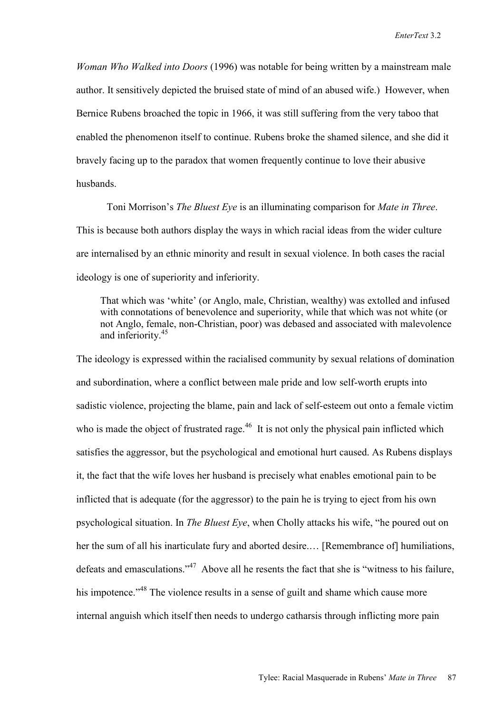*Woman Who Walked into Doors* (1996) was notable for being written by a mainstream male author. It sensitively depicted the bruised state of mind of an abused wife.) However, when Bernice Rubens broached the topic in 1966, it was still suffering from the very taboo that enabled the phenomenon itself to continue. Rubens broke the shamed silence, and she did it bravely facing up to the paradox that women frequently continue to love their abusive husbands.

 Toni Morrison's *The Bluest Eye* is an illuminating comparison for *Mate in Three*. This is because both authors display the ways in which racial ideas from the wider culture are internalised by an ethnic minority and result in sexual violence. In both cases the racial ideology is one of superiority and inferiority.

That which was 'white' (or Anglo, male, Christian, wealthy) was extolled and infused with connotations of benevolence and superiority, while that which was not white (or not Anglo, female, non-Christian, poor) was debased and associated with malevolence and inferiority.<sup>45</sup>

The ideology is expressed within the racialised community by sexual relations of domination and subordination, where a conflict between male pride and low self-worth erupts into sadistic violence, projecting the blame, pain and lack of self-esteem out onto a female victim who is made the object of frustrated rage.<sup>46</sup> It is not only the physical pain inflicted which satisfies the aggressor, but the psychological and emotional hurt caused. As Rubens displays it, the fact that the wife loves her husband is precisely what enables emotional pain to be inflicted that is adequate (for the aggressor) to the pain he is trying to eject from his own psychological situation. In *The Bluest Eye*, when Cholly attacks his wife, "he poured out on her the sum of all his inarticulate fury and aborted desire.... [Remembrance of] humiliations, defeats and emasculations."<sup>47</sup> Above all he resents the fact that she is "witness to his failure, his impotence."<sup>48</sup> The violence results in a sense of guilt and shame which cause more internal anguish which itself then needs to undergo catharsis through inflicting more pain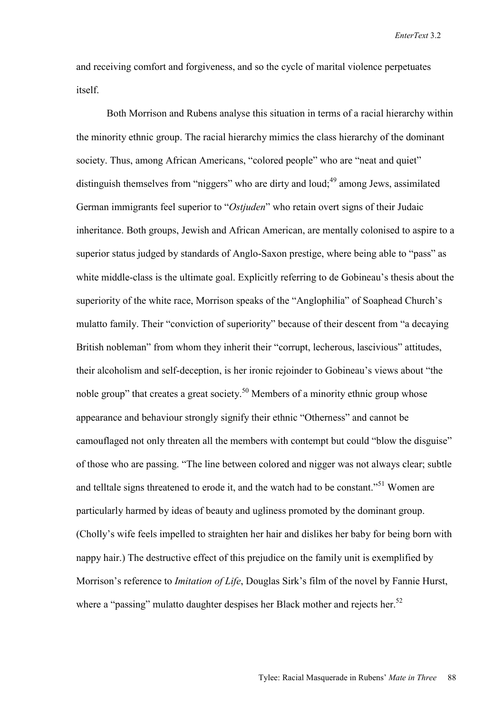and receiving comfort and forgiveness, and so the cycle of marital violence perpetuates itself.

 Both Morrison and Rubens analyse this situation in terms of a racial hierarchy within the minority ethnic group. The racial hierarchy mimics the class hierarchy of the dominant society. Thus, among African Americans, "colored people" who are "neat and quiet" distinguish themselves from "niggers" who are dirty and loud:<sup>49</sup> among Jews, assimilated German immigrants feel superior to "*Ostjuden*" who retain overt signs of their Judaic inheritance. Both groups, Jewish and African American, are mentally colonised to aspire to a superior status judged by standards of Anglo-Saxon prestige, where being able to "pass" as white middle-class is the ultimate goal. Explicitly referring to de Gobineau's thesis about the superiority of the white race, Morrison speaks of the "Anglophilia" of Soaphead Church's mulatto family. Their "conviction of superiority" because of their descent from "a decaying British nobleman" from whom they inherit their "corrupt, lecherous, lascivious" attitudes, their alcoholism and self-deception, is her ironic rejoinder to Gobineau's views about "the noble group" that creates a great society.<sup>50</sup> Members of a minority ethnic group whose appearance and behaviour strongly signify their ethnic "Otherness" and cannot be camouflaged not only threaten all the members with contempt but could "blow the disguise" of those who are passing. "The line between colored and nigger was not always clear; subtle and telltale signs threatened to erode it, and the watch had to be constant."<sup>51</sup> Women are particularly harmed by ideas of beauty and ugliness promoted by the dominant group. (Cholly's wife feels impelled to straighten her hair and dislikes her baby for being born with nappy hair.) The destructive effect of this prejudice on the family unit is exemplified by Morrison's reference to *Imitation of Life*, Douglas Sirk's film of the novel by Fannie Hurst, where a "passing" mulatto daughter despises her Black mother and rejects her.<sup>52</sup>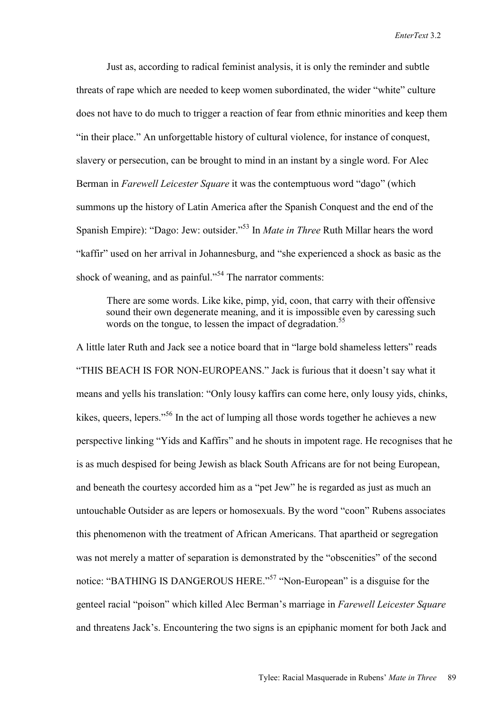Just as, according to radical feminist analysis, it is only the reminder and subtle threats of rape which are needed to keep women subordinated, the wider "white" culture does not have to do much to trigger a reaction of fear from ethnic minorities and keep them "in their place." An unforgettable history of cultural violence, for instance of conquest, slavery or persecution, can be brought to mind in an instant by a single word. For Alec Berman in *Farewell Leicester Square* it was the contemptuous word "dago" (which summons up the history of Latin America after the Spanish Conquest and the end of the Spanish Empire): "Dago: Jew: outsider."53 In *Mate in Three* Ruth Millar hears the word "kaffir" used on her arrival in Johannesburg, and "she experienced a shock as basic as the shock of weaning, and as painful."<sup>54</sup> The narrator comments:

 There are some words. Like kike, pimp, yid, coon, that carry with their offensive sound their own degenerate meaning, and it is impossible even by caressing such words on the tongue, to lessen the impact of degradation.<sup>55</sup>

A little later Ruth and Jack see a notice board that in "large bold shameless letters" reads "THIS BEACH IS FOR NON-EUROPEANS." Jack is furious that it doesn't say what it means and yells his translation: "Only lousy kaffirs can come here, only lousy yids, chinks, kikes, queers, lepers."<sup>56</sup> In the act of lumping all those words together he achieves a new perspective linking "Yids and Kaffirs" and he shouts in impotent rage. He recognises that he is as much despised for being Jewish as black South Africans are for not being European, and beneath the courtesy accorded him as a "pet Jew" he is regarded as just as much an untouchable Outsider as are lepers or homosexuals. By the word "coon" Rubens associates this phenomenon with the treatment of African Americans. That apartheid or segregation was not merely a matter of separation is demonstrated by the "obscenities" of the second notice: "BATHING IS DANGEROUS HERE."<sup>57</sup> "Non-European" is a disguise for the genteel racial "poison" which killed Alec Berman's marriage in *Farewell Leicester Square* and threatens Jack's. Encountering the two signs is an epiphanic moment for both Jack and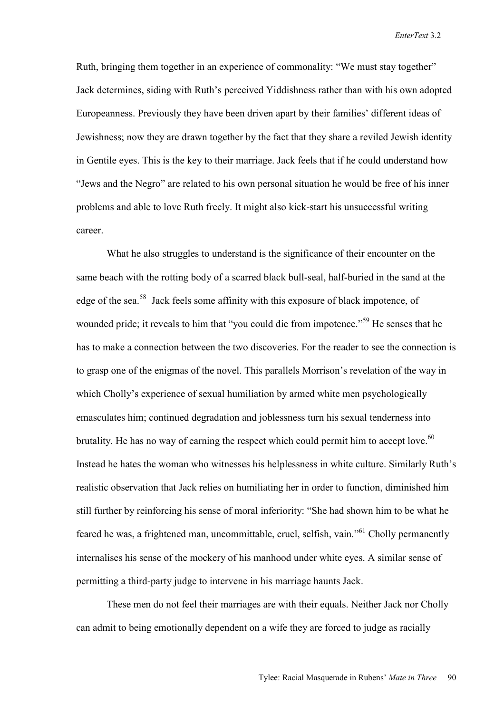Ruth, bringing them together in an experience of commonality: "We must stay together" Jack determines, siding with Ruth's perceived Yiddishness rather than with his own adopted Europeanness. Previously they have been driven apart by their families' different ideas of Jewishness; now they are drawn together by the fact that they share a reviled Jewish identity in Gentile eyes. This is the key to their marriage. Jack feels that if he could understand how "Jews and the Negro" are related to his own personal situation he would be free of his inner problems and able to love Ruth freely. It might also kick-start his unsuccessful writing career.

 What he also struggles to understand is the significance of their encounter on the same beach with the rotting body of a scarred black bull-seal, half-buried in the sand at the edge of the sea.58 Jack feels some affinity with this exposure of black impotence, of wounded pride; it reveals to him that "you could die from impotence."<sup>59</sup> He senses that he has to make a connection between the two discoveries. For the reader to see the connection is to grasp one of the enigmas of the novel. This parallels Morrison's revelation of the way in which Cholly's experience of sexual humiliation by armed white men psychologically emasculates him; continued degradation and joblessness turn his sexual tenderness into brutality. He has no way of earning the respect which could permit him to accept love.<sup>60</sup> Instead he hates the woman who witnesses his helplessness in white culture. Similarly Ruth's realistic observation that Jack relies on humiliating her in order to function, diminished him still further by reinforcing his sense of moral inferiority: "She had shown him to be what he feared he was, a frightened man, uncommittable, cruel, selfish, vain."61 Cholly permanently internalises his sense of the mockery of his manhood under white eyes. A similar sense of permitting a third-party judge to intervene in his marriage haunts Jack.

These men do not feel their marriages are with their equals. Neither Jack nor Cholly can admit to being emotionally dependent on a wife they are forced to judge as racially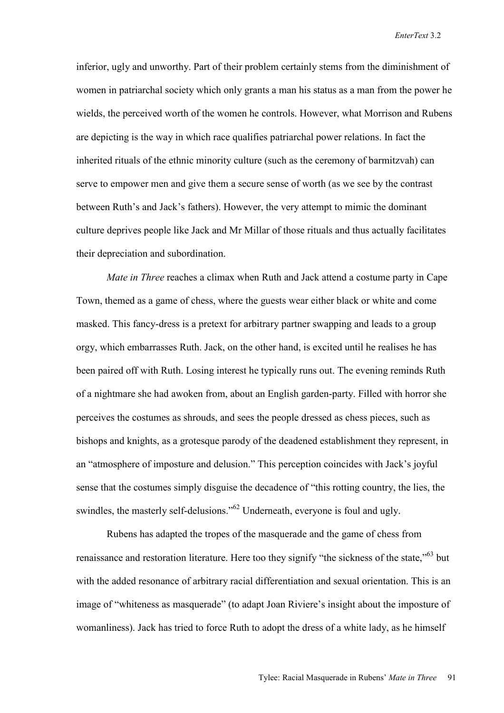inferior, ugly and unworthy. Part of their problem certainly stems from the diminishment of women in patriarchal society which only grants a man his status as a man from the power he wields, the perceived worth of the women he controls. However, what Morrison and Rubens are depicting is the way in which race qualifies patriarchal power relations. In fact the inherited rituals of the ethnic minority culture (such as the ceremony of barmitzvah) can serve to empower men and give them a secure sense of worth (as we see by the contrast between Ruth's and Jack's fathers). However, the very attempt to mimic the dominant culture deprives people like Jack and Mr Millar of those rituals and thus actually facilitates their depreciation and subordination.

*Mate in Three* reaches a climax when Ruth and Jack attend a costume party in Cape Town, themed as a game of chess, where the guests wear either black or white and come masked. This fancy-dress is a pretext for arbitrary partner swapping and leads to a group orgy, which embarrasses Ruth. Jack, on the other hand, is excited until he realises he has been paired off with Ruth. Losing interest he typically runs out. The evening reminds Ruth of a nightmare she had awoken from, about an English garden-party. Filled with horror she perceives the costumes as shrouds, and sees the people dressed as chess pieces, such as bishops and knights, as a grotesque parody of the deadened establishment they represent, in an "atmosphere of imposture and delusion." This perception coincides with Jack's joyful sense that the costumes simply disguise the decadence of "this rotting country, the lies, the swindles, the masterly self-delusions.<sup>562</sup> Underneath, everyone is foul and ugly.

Rubens has adapted the tropes of the masquerade and the game of chess from renaissance and restoration literature. Here too they signify "the sickness of the state,"63 but with the added resonance of arbitrary racial differentiation and sexual orientation. This is an image of "whiteness as masquerade" (to adapt Joan Riviere's insight about the imposture of womanliness). Jack has tried to force Ruth to adopt the dress of a white lady, as he himself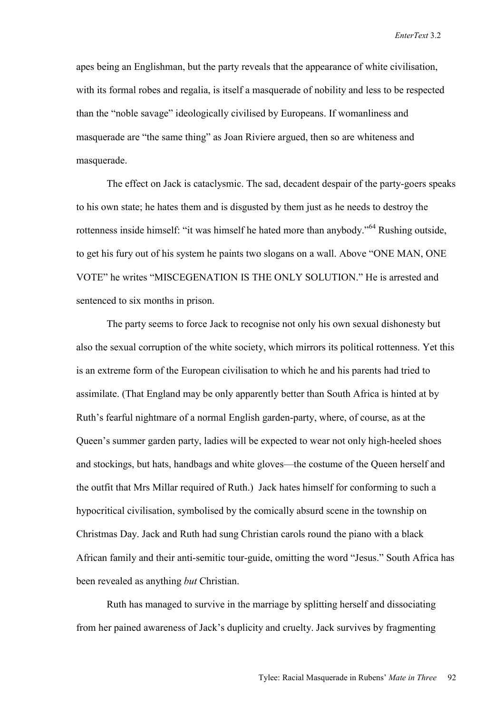apes being an Englishman, but the party reveals that the appearance of white civilisation, with its formal robes and regalia, is itself a masquerade of nobility and less to be respected than the "noble savage" ideologically civilised by Europeans. If womanliness and masquerade are "the same thing" as Joan Riviere argued, then so are whiteness and masquerade.

 The effect on Jack is cataclysmic. The sad, decadent despair of the party-goers speaks to his own state; he hates them and is disgusted by them just as he needs to destroy the rottenness inside himself: "it was himself he hated more than anybody."<sup>64</sup> Rushing outside, to get his fury out of his system he paints two slogans on a wall. Above "ONE MAN, ONE VOTE" he writes "MISCEGENATION IS THE ONLY SOLUTION." He is arrested and sentenced to six months in prison.

 The party seems to force Jack to recognise not only his own sexual dishonesty but also the sexual corruption of the white society, which mirrors its political rottenness. Yet this is an extreme form of the European civilisation to which he and his parents had tried to assimilate. (That England may be only apparently better than South Africa is hinted at by Ruth's fearful nightmare of a normal English garden-party, where, of course, as at the Queen's summer garden party, ladies will be expected to wear not only high-heeled shoes and stockings, but hats, handbags and white gloves—the costume of the Queen herself and the outfit that Mrs Millar required of Ruth.) Jack hates himself for conforming to such a hypocritical civilisation, symbolised by the comically absurd scene in the township on Christmas Day. Jack and Ruth had sung Christian carols round the piano with a black African family and their anti-semitic tour-guide, omitting the word "Jesus." South Africa has been revealed as anything *but* Christian.

 Ruth has managed to survive in the marriage by splitting herself and dissociating from her pained awareness of Jack's duplicity and cruelty. Jack survives by fragmenting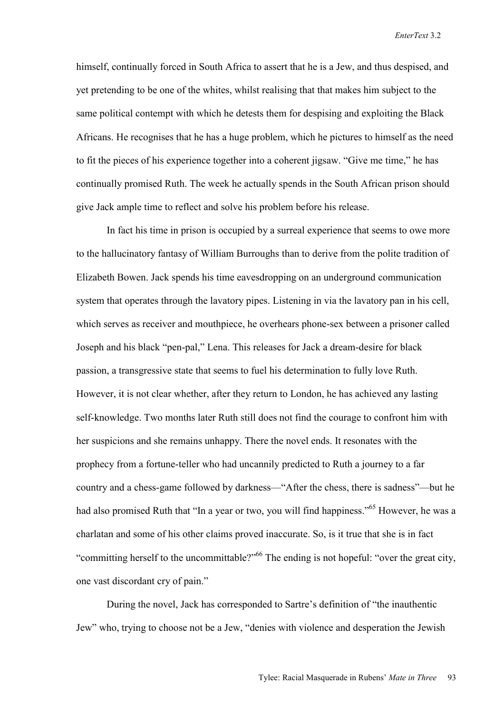himself, continually forced in South Africa to assert that he is a Jew, and thus despised, and yet pretending to be one of the whites, whilst realising that that makes him subject to the same political contempt with which he detests them for despising and exploiting the Black Africans. He recognises that he has a huge problem, which he pictures to himself as the need to fit the pieces of his experience together into a coherent jigsaw. "Give me time," he has continually promised Ruth. The week he actually spends in the South African prison should give Jack ample time to reflect and solve his problem before his release.

 In fact his time in prison is occupied by a surreal experience that seems to owe more to the hallucinatory fantasy of William Burroughs than to derive from the polite tradition of Elizabeth Bowen. Jack spends his time eavesdropping on an underground communication system that operates through the lavatory pipes. Listening in via the lavatory pan in his cell, which serves as receiver and mouthpiece, he overhears phone-sex between a prisoner called Joseph and his black "pen-pal," Lena. This releases for Jack a dream-desire for black passion, a transgressive state that seems to fuel his determination to fully love Ruth. However, it is not clear whether, after they return to London, he has achieved any lasting self-knowledge. Two months later Ruth still does not find the courage to confront him with her suspicions and she remains unhappy. There the novel ends. It resonates with the prophecy from a fortune-teller who had uncannily predicted to Ruth a journey to a far country and a chess-game followed by darkness—"After the chess, there is sadness"—but he had also promised Ruth that "In a year or two, you will find happiness."<sup>65</sup> However, he was a charlatan and some of his other claims proved inaccurate. So, is it true that she is in fact "committing herself to the uncommittable?"66 The ending is not hopeful: "over the great city, one vast discordant cry of pain."

During the novel, Jack has corresponded to Sartre's definition of "the inauthentic Jew" who, trying to choose not be a Jew, "denies with violence and desperation the Jewish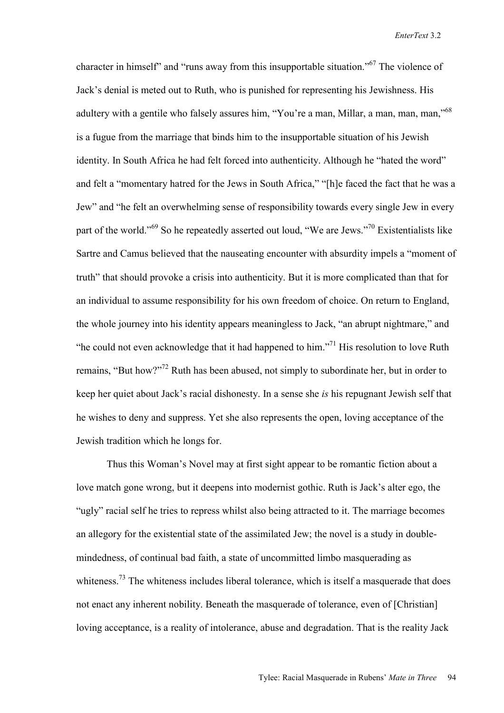character in himself" and "runs away from this insupportable situation."67 The violence of Jack's denial is meted out to Ruth, who is punished for representing his Jewishness. His adultery with a gentile who falsely assures him, "You're a man, Millar, a man, man, man,"<sup>68</sup> is a fugue from the marriage that binds him to the insupportable situation of his Jewish identity. In South Africa he had felt forced into authenticity. Although he "hated the word" and felt a "momentary hatred for the Jews in South Africa," "[h]e faced the fact that he was a Jew" and "he felt an overwhelming sense of responsibility towards every single Jew in every part of the world."69 So he repeatedly asserted out loud, "We are Jews."70 Existentialists like Sartre and Camus believed that the nauseating encounter with absurdity impels a "moment of truth" that should provoke a crisis into authenticity. But it is more complicated than that for an individual to assume responsibility for his own freedom of choice. On return to England, the whole journey into his identity appears meaningless to Jack, "an abrupt nightmare," and "he could not even acknowledge that it had happened to him."<sup>71</sup> His resolution to love Ruth remains, "But how?"72 Ruth has been abused, not simply to subordinate her, but in order to keep her quiet about Jack's racial dishonesty. In a sense she *is* his repugnant Jewish self that he wishes to deny and suppress. Yet she also represents the open, loving acceptance of the Jewish tradition which he longs for.

Thus this Woman's Novel may at first sight appear to be romantic fiction about a love match gone wrong, but it deepens into modernist gothic. Ruth is Jack's alter ego, the "ugly" racial self he tries to repress whilst also being attracted to it. The marriage becomes an allegory for the existential state of the assimilated Jew; the novel is a study in doublemindedness, of continual bad faith, a state of uncommitted limbo masquerading as whiteness.<sup>73</sup> The whiteness includes liberal tolerance, which is itself a masquerade that does not enact any inherent nobility. Beneath the masquerade of tolerance, even of [Christian] loving acceptance, is a reality of intolerance, abuse and degradation. That is the reality Jack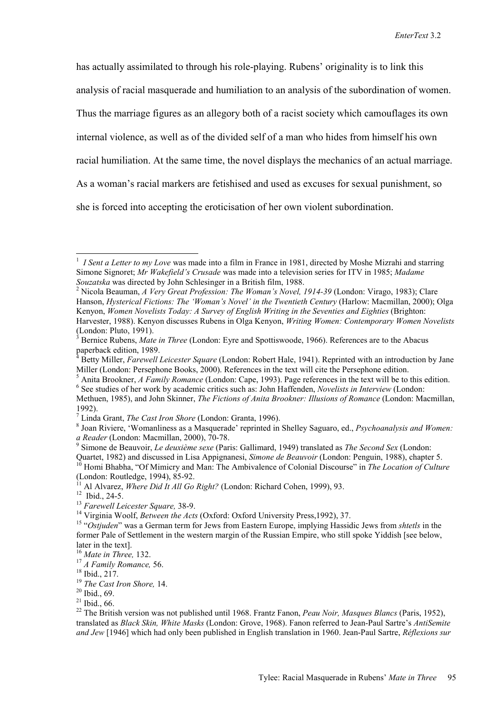has actually assimilated to through his role-playing. Rubens' originality is to link this analysis of racial masquerade and humiliation to an analysis of the subordination of women. Thus the marriage figures as an allegory both of a racist society which camouflages its own internal violence, as well as of the divided self of a man who hides from himself his own racial humiliation. At the same time, the novel displays the mechanics of an actual marriage. As a woman's racial markers are fetishised and used as excuses for sexual punishment, so she is forced into accepting the eroticisation of her own violent subordination.

 $\overline{a}$ 

<sup>1</sup> *I Sent a Letter to my Love* was made into a film in France in 1981, directed by Moshe Mizrahi and starring Simone Signoret; *Mr Wakefield's Crusade* was made into a television series for ITV in 1985; *Madame Souzatska* was directed by John Schlesinger in a British film, 1988. 2

<sup>&</sup>lt;sup>2</sup> Nicola Beauman, *A Very Great Profession: The Woman's Novel, 1914-39* (London: Virago, 1983); Clare Hanson, *Hysterical Fictions: The 'Woman's Novel' in the Twentieth Century* (Harlow: Macmillan, 2000); Olga Kenyon, *Women Novelists Today: A Survey of English Writing in the Seventies and Eighties* (Brighton: Harvester, 1988). Kenyon discusses Rubens in Olga Kenyon, *Writing Women: Contemporary Women Novelists* (London: Pluto, 1991).

<sup>3</sup> Bernice Rubens, *Mate in Three* (London: Eyre and Spottiswoode, 1966). References are to the Abacus paperback edition, 1989.

Betty Miller, *Farewell Leicester Square* (London: Robert Hale, 1941). Reprinted with an introduction by Jane Miller (London: Persephone Books, 2000). References in the text will cite the Persephone edition.

<sup>5</sup> Anita Brookner, *A Family Romance* (London: Cape, 1993). Page references in the text will be to this edition. <sup>6</sup> See studies of her work by academic critics such as: John Haffenden, *Novelists in Interview* (London:

Methuen, 1985), and John Skinner, *The Fictions of Anita Brookner: Illusions of Romance* (London: Macmillan, 1992).

<sup>&</sup>lt;sup>7</sup> Linda Grant, *The Cast Iron Shore* (London: Granta, 1996).

Joan Riviere, 'Womanliness as a Masquerade' reprinted in Shelley Saguaro, ed., *Psychoanalysis and Women: a Reader* (London: Macmillan, 2000), 70-78.

Simone de Beauvoir, *Le deuxième sexe* (Paris: Gallimard, 1949) translated as *The Second Sex* (London:

Quartet, 1982) and discussed in Lisa Appignanesi, *Simone de Beauvoir* (London: Penguin, 1988), chapter 5.<br><sup>10</sup> Homi Bhabha, "Of Mimicry and Man: The Ambivalence of Colonial Discourse" in *The Location of Culture* 

<sup>(</sup>London: Routledge, 1994), 85-92.

<sup>&</sup>lt;sup>11</sup> Al Alvarez, *Where Did It All Go Right?* (London: Richard Cohen, 1999), 93.<br><sup>12</sup> Ibid., 24-5.<br><sup>13</sup> Farewell Leicester Square, 38-9.

<sup>&</sup>lt;sup>14</sup> Virginia Woolf, *Between the Acts* (Oxford: Oxford University Press, 1992), 37.<br><sup>15</sup> "Ostiuden" was a German term for Jews from Eastern Europe, implying Hassidic Jews from *shtetls* in the former Pale of Settlement in the western margin of the Russian Empire, who still spoke Yiddish [see below, later in the text].<br> $^{16}$  *Mate in Three*, 132.

<sup>&</sup>lt;sup>17</sup> *A Family Romance*, 56.<br><sup>18</sup> Ibid., 217.

<sup>19</sup> *The Cast Iron Shore,* 14. 20 Ibid., 69.

 $21$  Ibid., 66.

<sup>22</sup> The British version was not published until 1968. Frantz Fanon, *Peau Noir, Masques Blancs* (Paris, 1952), translated as *Black Skin, White Masks* (London: Grove, 1968). Fanon referred to Jean-Paul Sartre's *AntiSemite and Jew* [1946] which had only been published in English translation in 1960. Jean-Paul Sartre, *Réflexions sur*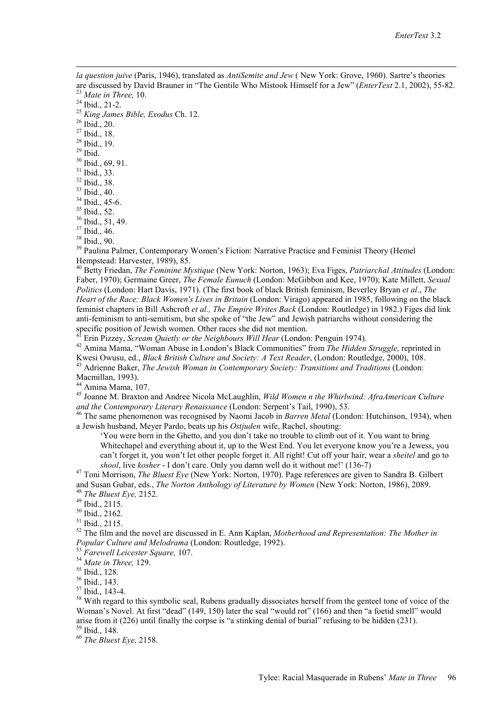*la question juive* (Paris, 1946), translated as *AntiSemite and Jew* ( New York: Grove, 1960). Sartre's theories are discussed by David Brauner in "The Gentile Who Mistook Himself for a Jew" (*EnterText* 2.1, 2002), 55-82. 23 *Mate in Three,* 10. 24 Ibid., 21-2.

 $\overline{a}$ 

<sup>25</sup> *King James Bible, Exodus* Ch. 12. 26 Ibid., 20.

27 Ibid., 18.

28 Ibid., 19.

 $29$  Ibid.

30 Ibid., 69, 91.

31 Ibid., 33.

32 Ibid., 38.

33 Ibid., 40. 34 Ibid., 45-6.

35 Ibid., 52.

36 Ibid., 51, 49.

37 Ibid., 46.

38 Ibid., 90.

<sup>39</sup> Paulina Palmer, Contemporary Women's Fiction: Narrative Practice and Feminist Theory (Hemel Hempstead: Harvester, 1989), 85.

40 Betty Friedan, *The Feminine Mystique* (New York: Norton, 1963); Eva Figes, *Patriarchal Attitudes* (London: Faber, 1970); Germaine Greer, *The Female Eunuch* (London: McGibbon and Kee, 1970); Kate Millett, *Sexual Politics* (London: Hart Davis, 1971). (The first book of black British feminism, Beverley Bryan *et al*., *The Heart of the Race: Black Women's Lives in Britain* (London: Virago) appeared in 1985, following on the black feminist chapters in Bill Ashcroft *et al., The Empire Writes Back* (London: Routledge) in 1982.) Figes did link anti-feminism to anti-semitism, but she spoke of "the Jew" and Jewish patriarchs without considering the specific position of Jewish women. Other races she did not mention.<br><sup>41</sup> Erin Pizzey, *Scream Quietly or the Neighbours Will Hear* (London: Penguin 1974).

<sup>42</sup> Amina Mama, "Woman Abuse in London's Black Communities" from *The Hidden Struggle*, reprinted in Kwesi Owusu, ed., *Black British Culture and Society: A Text Reader*, (London: Routledge, 2000), 108.

<sup>43</sup> Adrienne Baker, *The Jewish Woman in Contemporary Society: Transitions and Traditions* (London: Macmillan, 1993).

44 Amina Mama, 107.

45 Joanne M. Braxton and Andree Nicola McLaughlin, *Wild Women n the Whirlwind: AfraAmerican Culture and the Contemporary Literary Renaissance* (London: Serpent's Tail, 1990), 53. 46 The same phenomenon was recognised by Naomi Jacob in *Barren Metal* (London: Hutchinson, 1934), when

a Jewish husband, Meyer Pardo, beats up his *Ostjuden* wife, Rachel, shouting:

'You were born in the Ghetto, and you don't take no trouble to climb out of it. You want to bring Whitechapel and everything about it, up to the West End. You let everyone know you're a Jewess, you can't forget it, you won't let other people forget it. All right! Cut off your hair, wear a *sheitel* and go to

*shool*, live *kosher* - I don't care. Only you damn well do it without me!' (136-7) 47 Toni Morrison, *The Bluest Eye* (New York: Norton, 1970). Page references are given to Sandra B. Gilbert and Susan Gubar, eds., *The Norton Anthology of Literature by Women* (New York: Norton, 1986), 2089.<br><sup>48</sup> *The Bluest Eye,* 2152.<br><sup>49</sup> Ibid., 2115.

50 Ibid., 2162.

51 Ibid., 2115.

52 The film and the novel are discussed in E. Ann Kaplan, *Motherhood and Representation: The Mother in Popular Culture and Melodrama* (London: Routledge, 1992). 53 *Farewell Leicester Square,* 107. 54 *Mate in Three,* 129. 55 Ibid., 128.

56 Ibid., 143.

57 Ibid., 143-4.

<sup>58</sup> With regard to this symbolic seal, Rubens gradually dissociates herself from the genteel tone of voice of the Woman's Novel. At first "dead" (149, 150) later the seal "would rot" (166) and then "a foetid smell" would arise from it (226) until finally the corpse is "a stinking denial of burial" refusing to be hidden (231). 59 Ibid., 148.

<sup>60</sup> *The Bluest Eye,* 2158.